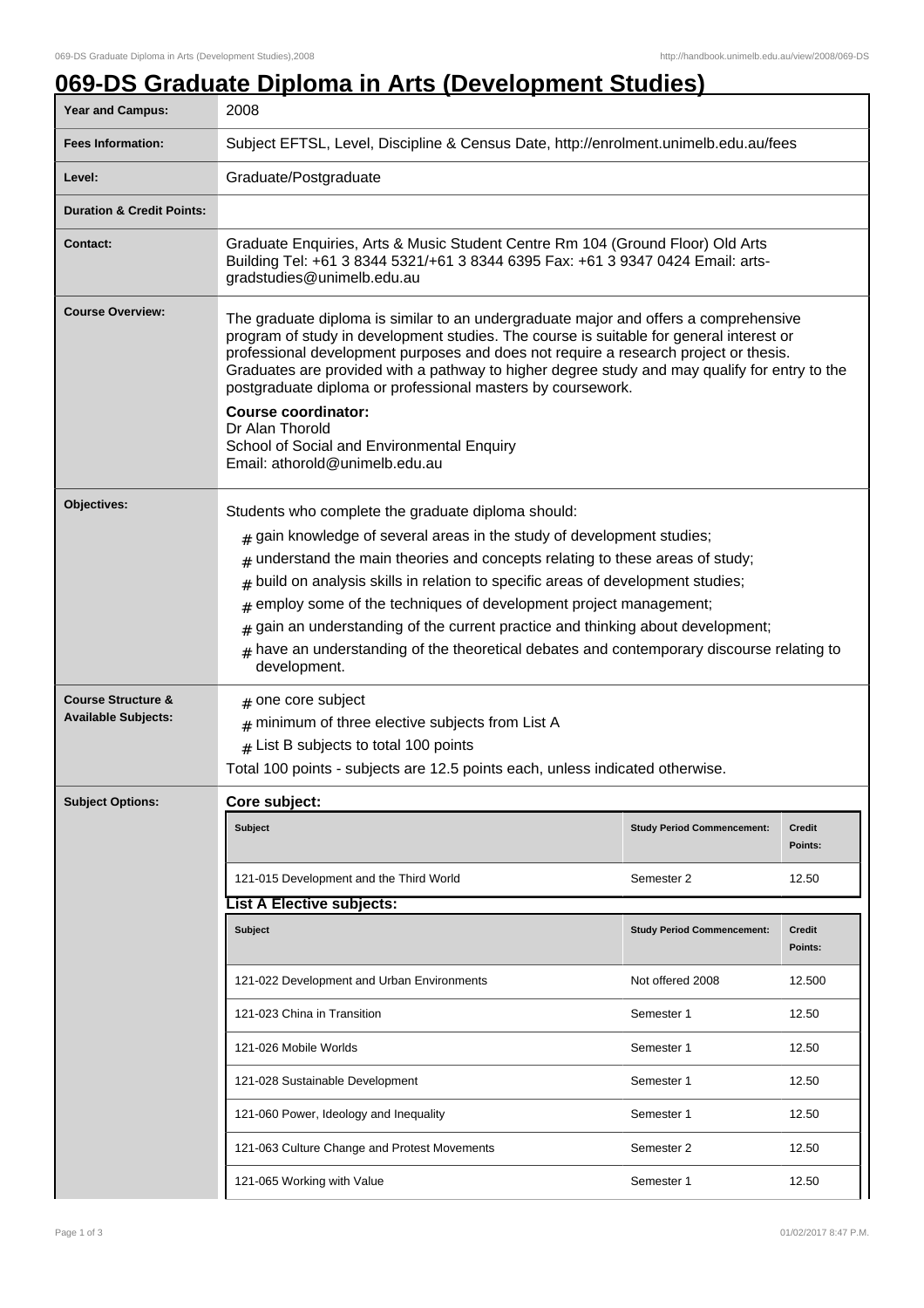## **069-DS Graduate Diploma in Arts (Development Studies)**

| Year and Campus:                                            | 2008                                                                                                                                                                                                                                                                                                                                                                                                                                                                                                                                                                                 |                                   |                          |  |
|-------------------------------------------------------------|--------------------------------------------------------------------------------------------------------------------------------------------------------------------------------------------------------------------------------------------------------------------------------------------------------------------------------------------------------------------------------------------------------------------------------------------------------------------------------------------------------------------------------------------------------------------------------------|-----------------------------------|--------------------------|--|
| <b>Fees Information:</b>                                    | Subject EFTSL, Level, Discipline & Census Date, http://enrolment.unimelb.edu.au/fees                                                                                                                                                                                                                                                                                                                                                                                                                                                                                                 |                                   |                          |  |
| Level:                                                      | Graduate/Postgraduate                                                                                                                                                                                                                                                                                                                                                                                                                                                                                                                                                                |                                   |                          |  |
| <b>Duration &amp; Credit Points:</b>                        |                                                                                                                                                                                                                                                                                                                                                                                                                                                                                                                                                                                      |                                   |                          |  |
| <b>Contact:</b>                                             | Graduate Enquiries, Arts & Music Student Centre Rm 104 (Ground Floor) Old Arts<br>Building Tel: +61 3 8344 5321/+61 3 8344 6395 Fax: +61 3 9347 0424 Email: arts-<br>gradstudies@unimelb.edu.au                                                                                                                                                                                                                                                                                                                                                                                      |                                   |                          |  |
| <b>Course Overview:</b>                                     | The graduate diploma is similar to an undergraduate major and offers a comprehensive<br>program of study in development studies. The course is suitable for general interest or<br>professional development purposes and does not require a research project or thesis.<br>Graduates are provided with a pathway to higher degree study and may qualify for entry to the<br>postgraduate diploma or professional masters by coursework.<br><b>Course coordinator:</b><br>Dr Alan Thorold<br>School of Social and Environmental Enquiry<br>Email: athorold@unimelb.edu.au             |                                   |                          |  |
| Objectives:                                                 | Students who complete the graduate diploma should:<br>gain knowledge of several areas in the study of development studies;<br>#<br>understand the main theories and concepts relating to these areas of study;<br>#<br>build on analysis skills in relation to specific areas of development studies;<br>#<br>employ some of the techniques of development project management;<br>#<br>gain an understanding of the current practice and thinking about development;<br>have an understanding of the theoretical debates and contemporary discourse relating to<br>#<br>development. |                                   |                          |  |
| <b>Course Structure &amp;</b><br><b>Available Subjects:</b> | $#$ one core subject<br>minimum of three elective subjects from List A<br>$#$ List B subjects to total 100 points<br>Total 100 points - subjects are 12.5 points each, unless indicated otherwise.                                                                                                                                                                                                                                                                                                                                                                                   |                                   |                          |  |
| <b>Subject Options:</b>                                     | Core subject:                                                                                                                                                                                                                                                                                                                                                                                                                                                                                                                                                                        |                                   |                          |  |
|                                                             | <b>Subject</b>                                                                                                                                                                                                                                                                                                                                                                                                                                                                                                                                                                       | <b>Study Period Commencement:</b> | <b>Credit</b><br>Points: |  |
|                                                             | 121-015 Development and the Third World                                                                                                                                                                                                                                                                                                                                                                                                                                                                                                                                              | Semester 2                        | 12.50                    |  |
|                                                             | <b>List A Elective subjects:</b>                                                                                                                                                                                                                                                                                                                                                                                                                                                                                                                                                     |                                   |                          |  |
|                                                             | <b>Subject</b>                                                                                                                                                                                                                                                                                                                                                                                                                                                                                                                                                                       | <b>Study Period Commencement:</b> | Credit<br>Points:        |  |
|                                                             | 121-022 Development and Urban Environments                                                                                                                                                                                                                                                                                                                                                                                                                                                                                                                                           | Not offered 2008                  | 12.500                   |  |
|                                                             | 121-023 China in Transition                                                                                                                                                                                                                                                                                                                                                                                                                                                                                                                                                          | Semester 1                        | 12.50                    |  |
|                                                             | 121-026 Mobile Worlds                                                                                                                                                                                                                                                                                                                                                                                                                                                                                                                                                                | Semester 1                        | 12.50                    |  |
|                                                             | 121-028 Sustainable Development                                                                                                                                                                                                                                                                                                                                                                                                                                                                                                                                                      | Semester 1                        | 12.50                    |  |
|                                                             | 121-060 Power, Ideology and Inequality                                                                                                                                                                                                                                                                                                                                                                                                                                                                                                                                               | Semester 1                        | 12.50                    |  |
|                                                             | 121-063 Culture Change and Protest Movements                                                                                                                                                                                                                                                                                                                                                                                                                                                                                                                                         | Semester 2                        | 12.50                    |  |
|                                                             | 121-065 Working with Value                                                                                                                                                                                                                                                                                                                                                                                                                                                                                                                                                           | Semester 1                        | 12.50                    |  |